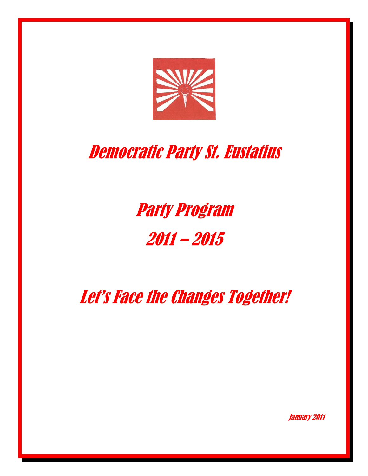

# Democratic Party St. Eustatius

Party Program 2011 – 2015

Let's Face the Changes Together!

January 2011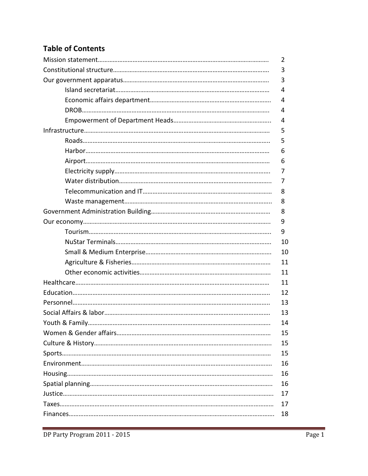# Table of Contents

| 2  |
|----|
| 3  |
| 3  |
| 4  |
| 4  |
| 4  |
| 4  |
| 5  |
| 5  |
| 6  |
| 6  |
| 7  |
| 7  |
| 8  |
| 8  |
| 8  |
| 9  |
| 9  |
| 10 |
| 10 |
| 11 |
| 11 |
| 11 |
| 12 |
| 13 |
| 13 |
| 14 |
| 15 |
| 15 |
| 15 |
| 16 |
| 16 |
| 16 |
| 17 |
| 17 |
| 18 |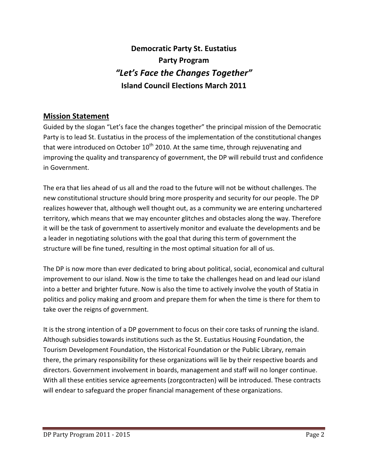Democratic Party St. Eustatius Party Program "Let's Face the Changes Together" Island Council Elections March 2011

## Mission Statement

Guided by the slogan "Let's face the changes together" the principal mission of the Democratic Party is to lead St. Eustatius in the process of the implementation of the constitutional changes that were introduced on October  $10^{th}$  2010. At the same time, through rejuvenating and improving the quality and transparency of government, the DP will rebuild trust and confidence in Government.

The era that lies ahead of us all and the road to the future will not be without challenges. The new constitutional structure should bring more prosperity and security for our people. The DP realizes however that, although well thought out, as a community we are entering unchartered territory, which means that we may encounter glitches and obstacles along the way. Therefore it will be the task of government to assertively monitor and evaluate the developments and be a leader in negotiating solutions with the goal that during this term of government the structure will be fine tuned, resulting in the most optimal situation for all of us.

The DP is now more than ever dedicated to bring about political, social, economical and cultural improvement to our island. Now is the time to take the challenges head on and lead our island into a better and brighter future. Now is also the time to actively involve the youth of Statia in politics and policy making and groom and prepare them for when the time is there for them to take over the reigns of government.

It is the strong intention of a DP government to focus on their core tasks of running the island. Although subsidies towards institutions such as the St. Eustatius Housing Foundation, the Tourism Development Foundation, the Historical Foundation or the Public Library, remain there, the primary responsibility for these organizations will lie by their respective boards and directors. Government involvement in boards, management and staff will no longer continue. With all these entities service agreements (zorgcontracten) will be introduced. These contracts will endear to safeguard the proper financial management of these organizations.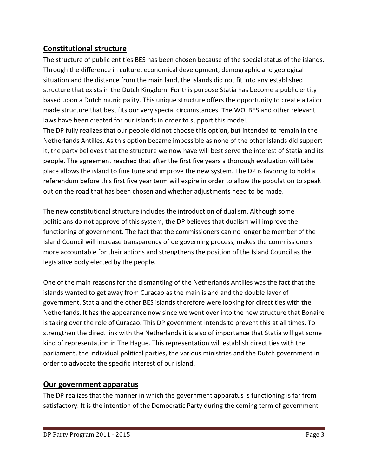## Constitutional structure

The structure of public entities BES has been chosen because of the special status of the islands. Through the difference in culture, economical development, demographic and geological situation and the distance from the main land, the islands did not fit into any established structure that exists in the Dutch Kingdom. For this purpose Statia has become a public entity based upon a Dutch municipality. This unique structure offers the opportunity to create a tailor made structure that best fits our very special circumstances. The WOLBES and other relevant laws have been created for our islands in order to support this model.

The DP fully realizes that our people did not choose this option, but intended to remain in the Netherlands Antilles. As this option became impossible as none of the other islands did support it, the party believes that the structure we now have will best serve the interest of Statia and its people. The agreement reached that after the first five years a thorough evaluation will take place allows the island to fine tune and improve the new system. The DP is favoring to hold a referendum before this first five year term will expire in order to allow the population to speak out on the road that has been chosen and whether adjustments need to be made.

The new constitutional structure includes the introduction of dualism. Although some politicians do not approve of this system, the DP believes that dualism will improve the functioning of government. The fact that the commissioners can no longer be member of the Island Council will increase transparency of de governing process, makes the commissioners more accountable for their actions and strengthens the position of the Island Council as the legislative body elected by the people.

One of the main reasons for the dismantling of the Netherlands Antilles was the fact that the islands wanted to get away from Curacao as the main island and the double layer of government. Statia and the other BES islands therefore were looking for direct ties with the Netherlands. It has the appearance now since we went over into the new structure that Bonaire is taking over the role of Curacao. This DP government intends to prevent this at all times. To strengthen the direct link with the Netherlands it is also of importance that Statia will get some kind of representation in The Hague. This representation will establish direct ties with the parliament, the individual political parties, the various ministries and the Dutch government in order to advocate the specific interest of our island.

#### Our government apparatus

The DP realizes that the manner in which the government apparatus is functioning is far from satisfactory. It is the intention of the Democratic Party during the coming term of government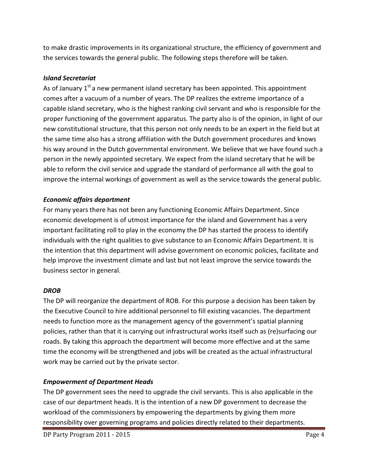to make drastic improvements in its organizational structure, the efficiency of government and the services towards the general public. The following steps therefore will be taken.

#### Island Secretariat

As of January  $1<sup>st</sup>$  a new permanent island secretary has been appointed. This appointment comes after a vacuum of a number of years. The DP realizes the extreme importance of a capable island secretary, who is the highest ranking civil servant and who is responsible for the proper functioning of the government apparatus. The party also is of the opinion, in light of our new constitutional structure, that this person not only needs to be an expert in the field but at the same time also has a strong affiliation with the Dutch government procedures and knows his way around in the Dutch governmental environment. We believe that we have found such a person in the newly appointed secretary. We expect from the island secretary that he will be able to reform the civil service and upgrade the standard of performance all with the goal to improve the internal workings of government as well as the service towards the general public.

#### Economic affairs department

For many years there has not been any functioning Economic Affairs Department. Since economic development is of utmost importance for the island and Government has a very important facilitating roll to play in the economy the DP has started the process to identify individuals with the right qualities to give substance to an Economic Affairs Department. It is the intention that this department will advise government on economic policies, facilitate and help improve the investment climate and last but not least improve the service towards the business sector in general.

#### DROB

The DP will reorganize the department of ROB. For this purpose a decision has been taken by the Executive Council to hire additional personnel to fill existing vacancies. The department needs to function more as the management agency of the government's spatial planning policies, rather than that it is carrying out infrastructural works itself such as (re)surfacing our roads. By taking this approach the department will become more effective and at the same time the economy will be strengthened and jobs will be created as the actual infrastructural work may be carried out by the private sector.

#### Empowerment of Department Heads

The DP government sees the need to upgrade the civil servants. This is also applicable in the case of our department heads. It is the intention of a new DP government to decrease the workload of the commissioners by empowering the departments by giving them more responsibility over governing programs and policies directly related to their departments.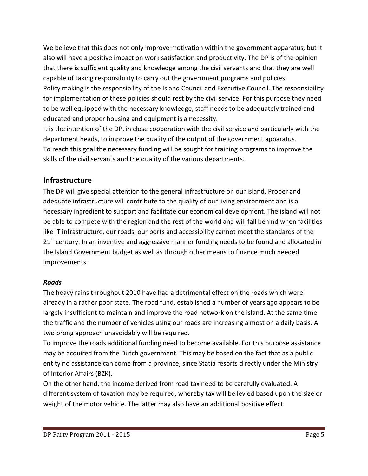We believe that this does not only improve motivation within the government apparatus, but it also will have a positive impact on work satisfaction and productivity. The DP is of the opinion that there is sufficient quality and knowledge among the civil servants and that they are well capable of taking responsibility to carry out the government programs and policies. Policy making is the responsibility of the Island Council and Executive Council. The responsibility for implementation of these policies should rest by the civil service. For this purpose they need to be well equipped with the necessary knowledge, staff needs to be adequately trained and educated and proper housing and equipment is a necessity.

It is the intention of the DP, in close cooperation with the civil service and particularly with the department heads, to improve the quality of the output of the government apparatus. To reach this goal the necessary funding will be sought for training programs to improve the skills of the civil servants and the quality of the various departments.

## Infrastructure

The DP will give special attention to the general infrastructure on our island. Proper and adequate infrastructure will contribute to the quality of our living environment and is a necessary ingredient to support and facilitate our economical development. The island will not be able to compete with the region and the rest of the world and will fall behind when facilities like IT infrastructure, our roads, our ports and accessibility cannot meet the standards of the  $21<sup>st</sup>$  century. In an inventive and aggressive manner funding needs to be found and allocated in the Island Government budget as well as through other means to finance much needed improvements.

#### Roads

The heavy rains throughout 2010 have had a detrimental effect on the roads which were already in a rather poor state. The road fund, established a number of years ago appears to be largely insufficient to maintain and improve the road network on the island. At the same time the traffic and the number of vehicles using our roads are increasing almost on a daily basis. A two prong approach unavoidably will be required.

To improve the roads additional funding need to become available. For this purpose assistance may be acquired from the Dutch government. This may be based on the fact that as a public entity no assistance can come from a province, since Statia resorts directly under the Ministry of Interior Affairs (BZK).

On the other hand, the income derived from road tax need to be carefully evaluated. A different system of taxation may be required, whereby tax will be levied based upon the size or weight of the motor vehicle. The latter may also have an additional positive effect.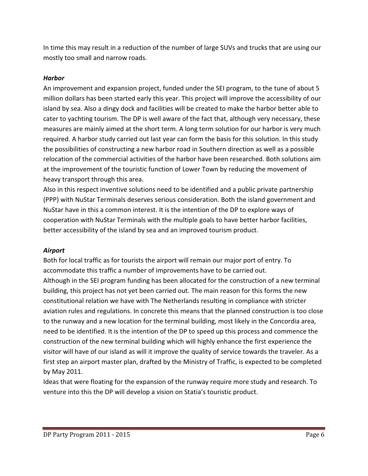In time this may result in a reduction of the number of large SUVs and trucks that are using our mostly too small and narrow roads.

#### Harbor

An improvement and expansion project, funded under the SEI program, to the tune of about 5 million dollars has been started early this year. This project will improve the accessibility of our island by sea. Also a dingy dock and facilities will be created to make the harbor better able to cater to yachting tourism. The DP is well aware of the fact that, although very necessary, these measures are mainly aimed at the short term. A long term solution for our harbor is very much required. A harbor study carried out last year can form the basis for this solution. In this study the possibilities of constructing a new harbor road in Southern direction as well as a possible relocation of the commercial activities of the harbor have been researched. Both solutions aim at the improvement of the touristic function of Lower Town by reducing the movement of heavy transport through this area.

Also in this respect inventive solutions need to be identified and a public private partnership (PPP) with NuStar Terminals deserves serious consideration. Both the island government and NuStar have in this a common interest. It is the intention of the DP to explore ways of cooperation with NuStar Terminals with the multiple goals to have better harbor facilities, better accessibility of the island by sea and an improved tourism product.

#### Airport

Both for local traffic as for tourists the airport will remain our major port of entry. To accommodate this traffic a number of improvements have to be carried out. Although in the SEI program funding has been allocated for the construction of a new terminal building, this project has not yet been carried out. The main reason for this forms the new constitutional relation we have with The Netherlands resulting in compliance with stricter aviation rules and regulations. In concrete this means that the planned construction is too close to the runway and a new location for the terminal building, most likely in the Concordia area, need to be identified. It is the intention of the DP to speed up this process and commence the construction of the new terminal building which will highly enhance the first experience the visitor will have of our island as will it improve the quality of service towards the traveler. As a first step an airport master plan, drafted by the Ministry of Traffic, is expected to be completed by May 2011.

Ideas that were floating for the expansion of the runway require more study and research. To venture into this the DP will develop a vision on Statia's touristic product.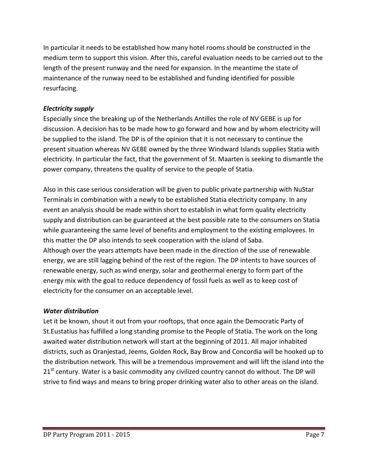In particular it needs to be established how many hotel rooms should be constructed in the medium term to support this vision. After this, careful evaluation needs to be carried out to the length of the present runway and the need for expansion. In the meantime the state of maintenance of the runway need to be established and funding identified for possible resurfacing.

#### Electricity supply

Especially since the breaking up of the Netherlands Antilles the role of NV GEBE is up for discussion. A decision has to be made how to go forward and how and by whom electricity will be supplied to the island. The DP is of the opinion that it is not necessary to continue the present situation whereas NV GEBE owned by the three Windward Islands supplies Statia with electricity. In particular the fact, that the government of St. Maarten is seeking to dismantle the power company, threatens the quality of service to the people of Statia.

Also in this case serious consideration will be given to public private partnership with NuStar Terminals in combination with a newly to be established Statia electricity company. In any event an analysis should be made within short to establish in what form quality electricity supply and distribution can be guaranteed at the best possible rate to the consumers on Statia while guaranteeing the same level of benefits and employment to the existing employees. In this matter the DP also intends to seek cooperation with the island of Saba. Although over the years attempts have been made in the direction of the use of renewable energy, we are still lagging behind of the rest of the region. The DP intents to have sources of renewable energy, such as wind energy, solar and geothermal energy to form part of the energy mix with the goal to reduce dependency of fossil fuels as well as to keep cost of electricity for the consumer on an acceptable level.

#### Water distribution

Let it be known, shout it out from your rooftops, that once again the Democratic Party of St.Eustatius has fulfilled a long standing promise to the People of Statia. The work on the long awaited water distribution network will start at the beginning of 2011. All major inhabited districts, such as Oranjestad, Jeems, Golden Rock, Bay Brow and Concordia will be hooked up to the distribution network. This will be a tremendous improvement and will lift the island into the 21<sup>st</sup> century. Water is a basic commodity any civilized country cannot do without. The DP will strive to find ways and means to bring proper drinking water also to other areas on the island.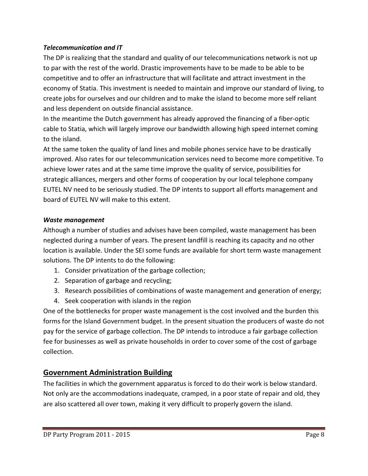#### Telecommunication and IT

The DP is realizing that the standard and quality of our telecommunications network is not up to par with the rest of the world. Drastic improvements have to be made to be able to be competitive and to offer an infrastructure that will facilitate and attract investment in the economy of Statia. This investment is needed to maintain and improve our standard of living, to create jobs for ourselves and our children and to make the island to become more self reliant and less dependent on outside financial assistance.

In the meantime the Dutch government has already approved the financing of a fiber-optic cable to Statia, which will largely improve our bandwidth allowing high speed internet coming to the island.

At the same token the quality of land lines and mobile phones service have to be drastically improved. Also rates for our telecommunication services need to become more competitive. To achieve lower rates and at the same time improve the quality of service, possibilities for strategic alliances, mergers and other forms of cooperation by our local telephone company EUTEL NV need to be seriously studied. The DP intents to support all efforts management and board of EUTEL NV will make to this extent.

#### Waste management

Although a number of studies and advises have been compiled, waste management has been neglected during a number of years. The present landfill is reaching its capacity and no other location is available. Under the SEI some funds are available for short term waste management solutions. The DP intents to do the following:

- 1. Consider privatization of the garbage collection;
- 2. Separation of garbage and recycling;
- 3. Research possibilities of combinations of waste management and generation of energy;
- 4. Seek cooperation with islands in the region

One of the bottlenecks for proper waste management is the cost involved and the burden this forms for the Island Government budget. In the present situation the producers of waste do not pay for the service of garbage collection. The DP intends to introduce a fair garbage collection fee for businesses as well as private households in order to cover some of the cost of garbage collection.

## Government Administration Building

The facilities in which the government apparatus is forced to do their work is below standard. Not only are the accommodations inadequate, cramped, in a poor state of repair and old, they are also scattered all over town, making it very difficult to properly govern the island.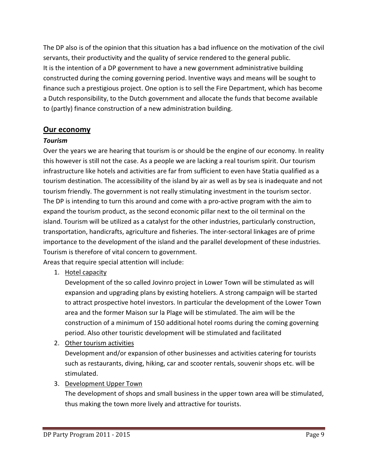The DP also is of the opinion that this situation has a bad influence on the motivation of the civil servants, their productivity and the quality of service rendered to the general public. It is the intention of a DP government to have a new government administrative building constructed during the coming governing period. Inventive ways and means will be sought to finance such a prestigious project. One option is to sell the Fire Department, which has become a Dutch responsibility, to the Dutch government and allocate the funds that become available to (partly) finance construction of a new administration building.

## Our economy

#### Tourism

Over the years we are hearing that tourism is or should be the engine of our economy. In reality this however is still not the case. As a people we are lacking a real tourism spirit. Our tourism infrastructure like hotels and activities are far from sufficient to even have Statia qualified as a tourism destination. The accessibility of the island by air as well as by sea is inadequate and not tourism friendly. The government is not really stimulating investment in the tourism sector. The DP is intending to turn this around and come with a pro-active program with the aim to expand the tourism product, as the second economic pillar next to the oil terminal on the island. Tourism will be utilized as a catalyst for the other industries, particularly construction, transportation, handicrafts, agriculture and fisheries. The inter-sectoral linkages are of prime importance to the development of the island and the parallel development of these industries. Tourism is therefore of vital concern to government.

Areas that require special attention will include:

1. Hotel capacity

Development of the so called Jovinro project in Lower Town will be stimulated as will expansion and upgrading plans by existing hoteliers. A strong campaign will be started to attract prospective hotel investors. In particular the development of the Lower Town area and the former Maison sur la Plage will be stimulated. The aim will be the construction of a minimum of 150 additional hotel rooms during the coming governing period. Also other touristic development will be stimulated and facilitated

2. Other tourism activities

Development and/or expansion of other businesses and activities catering for tourists such as restaurants, diving, hiking, car and scooter rentals, souvenir shops etc. will be stimulated.

3. Development Upper Town

The development of shops and small business in the upper town area will be stimulated, thus making the town more lively and attractive for tourists.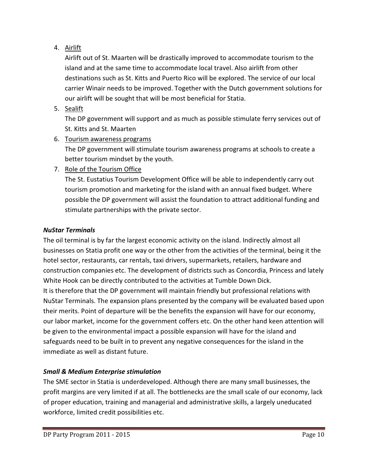## 4. Airlift

Airlift out of St. Maarten will be drastically improved to accommodate tourism to the island and at the same time to accommodate local travel. Also airlift from other destinations such as St. Kitts and Puerto Rico will be explored. The service of our local carrier Winair needs to be improved. Together with the Dutch government solutions for our airlift will be sought that will be most beneficial for Statia.

5. Sealift

The DP government will support and as much as possible stimulate ferry services out of St. Kitts and St. Maarten

6. Tourism awareness programs

The DP government will stimulate tourism awareness programs at schools to create a better tourism mindset by the youth.

7. Role of the Tourism Office

The St. Eustatius Tourism Development Office will be able to independently carry out tourism promotion and marketing for the island with an annual fixed budget. Where possible the DP government will assist the foundation to attract additional funding and stimulate partnerships with the private sector.

#### NuStar Terminals

The oil terminal is by far the largest economic activity on the island. Indirectly almost all businesses on Statia profit one way or the other from the activities of the terminal, being it the hotel sector, restaurants, car rentals, taxi drivers, supermarkets, retailers, hardware and construction companies etc. The development of districts such as Concordia, Princess and lately White Hook can be directly contributed to the activities at Tumble Down Dick. It is therefore that the DP government will maintain friendly but professional relations with NuStar Terminals. The expansion plans presented by the company will be evaluated based upon their merits. Point of departure will be the benefits the expansion will have for our economy, our labor market, income for the government coffers etc. On the other hand keen attention will be given to the environmental impact a possible expansion will have for the island and safeguards need to be built in to prevent any negative consequences for the island in the immediate as well as distant future.

## Small & Medium Enterprise stimulation

The SME sector in Statia is underdeveloped. Although there are many small businesses, the profit margins are very limited if at all. The bottlenecks are the small scale of our economy, lack of proper education, training and managerial and administrative skills, a largely uneducated workforce, limited credit possibilities etc.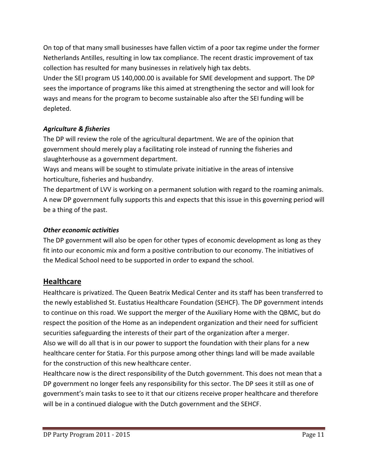On top of that many small businesses have fallen victim of a poor tax regime under the former Netherlands Antilles, resulting in low tax compliance. The recent drastic improvement of tax collection has resulted for many businesses in relatively high tax debts.

Under the SEI program US 140,000.00 is available for SME development and support. The DP sees the importance of programs like this aimed at strengthening the sector and will look for ways and means for the program to become sustainable also after the SEI funding will be depleted.

#### Agriculture & fisheries

The DP will review the role of the agricultural department. We are of the opinion that government should merely play a facilitating role instead of running the fisheries and slaughterhouse as a government department.

Ways and means will be sought to stimulate private initiative in the areas of intensive horticulture, fisheries and husbandry.

The department of LVV is working on a permanent solution with regard to the roaming animals. A new DP government fully supports this and expects that this issue in this governing period will be a thing of the past.

#### Other economic activities

The DP government will also be open for other types of economic development as long as they fit into our economic mix and form a positive contribution to our economy. The initiatives of the Medical School need to be supported in order to expand the school.

#### **Healthcare**

Healthcare is privatized. The Queen Beatrix Medical Center and its staff has been transferred to the newly established St. Eustatius Healthcare Foundation (SEHCF). The DP government intends to continue on this road. We support the merger of the Auxiliary Home with the QBMC, but do respect the position of the Home as an independent organization and their need for sufficient securities safeguarding the interests of their part of the organization after a merger. Also we will do all that is in our power to support the foundation with their plans for a new healthcare center for Statia. For this purpose among other things land will be made available for the construction of this new healthcare center.

Healthcare now is the direct responsibility of the Dutch government. This does not mean that a DP government no longer feels any responsibility for this sector. The DP sees it still as one of government's main tasks to see to it that our citizens receive proper healthcare and therefore will be in a continued dialogue with the Dutch government and the SEHCF.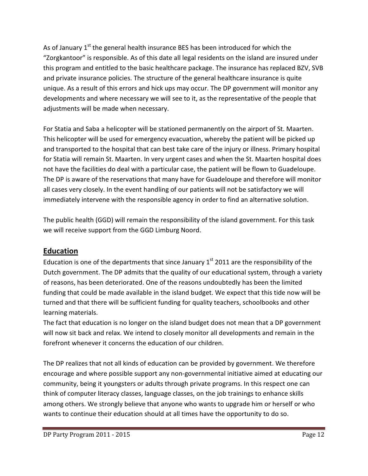As of January  $1<sup>st</sup>$  the general health insurance BES has been introduced for which the "Zorgkantoor" is responsible. As of this date all legal residents on the island are insured under this program and entitled to the basic healthcare package. The insurance has replaced BZV, SVB and private insurance policies. The structure of the general healthcare insurance is quite unique. As a result of this errors and hick ups may occur. The DP government will monitor any developments and where necessary we will see to it, as the representative of the people that adjustments will be made when necessary.

For Statia and Saba a helicopter will be stationed permanently on the airport of St. Maarten. This helicopter will be used for emergency evacuation, whereby the patient will be picked up and transported to the hospital that can best take care of the injury or illness. Primary hospital for Statia will remain St. Maarten. In very urgent cases and when the St. Maarten hospital does not have the facilities do deal with a particular case, the patient will be flown to Guadeloupe. The DP is aware of the reservations that many have for Guadeloupe and therefore will monitor all cases very closely. In the event handling of our patients will not be satisfactory we will immediately intervene with the responsible agency in order to find an alternative solution.

The public health (GGD) will remain the responsibility of the island government. For this task we will receive support from the GGD Limburg Noord.

## Education

Education is one of the departments that since January  $1<sup>st</sup>$  2011 are the responsibility of the Dutch government. The DP admits that the quality of our educational system, through a variety of reasons, has been deteriorated. One of the reasons undoubtedly has been the limited funding that could be made available in the island budget. We expect that this tide now will be turned and that there will be sufficient funding for quality teachers, schoolbooks and other learning materials.

The fact that education is no longer on the island budget does not mean that a DP government will now sit back and relax. We intend to closely monitor all developments and remain in the forefront whenever it concerns the education of our children.

The DP realizes that not all kinds of education can be provided by government. We therefore encourage and where possible support any non-governmental initiative aimed at educating our community, being it youngsters or adults through private programs. In this respect one can think of computer literacy classes, language classes, on the job trainings to enhance skills among others. We strongly believe that anyone who wants to upgrade him or herself or who wants to continue their education should at all times have the opportunity to do so.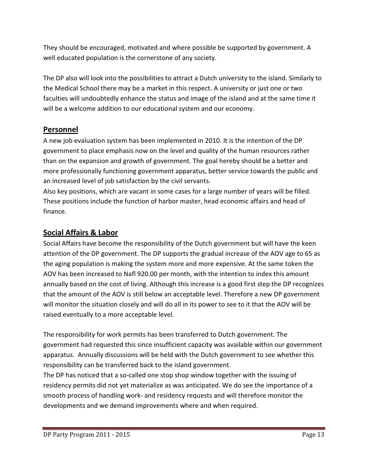They should be encouraged, motivated and where possible be supported by government. A well educated population is the cornerstone of any society.

The DP also will look into the possibilities to attract a Dutch university to the island. Similarly to the Medical School there may be a market in this respect. A university or just one or two faculties will undoubtedly enhance the status and image of the island and at the same time it will be a welcome addition to our educational system and our economy.

## Personnel

A new job evaluation system has been implemented in 2010. It is the intention of the DP government to place emphasis now on the level and quality of the human resources rather than on the expansion and growth of government. The goal hereby should be a better and more professionally functioning government apparatus, better service towards the public and an increased level of job satisfaction by the civil servants.

Also key positions, which are vacant in some cases for a large number of years will be filled. These positions include the function of harbor master, head economic affairs and head of finance.

## Social Affairs & Labor

Social Affairs have become the responsibility of the Dutch government but will have the keen attention of the DP government. The DP supports the gradual increase of the AOV age to 65 as the aging population is making the system more and more expensive. At the same token the AOV has been increased to Nafl 920.00 per month, with the intention to index this amount annually based on the cost of living. Although this increase is a good first step the DP recognizes that the amount of the AOV is still below an acceptable level. Therefore a new DP government will monitor the situation closely and will do all in its power to see to it that the AOV will be raised eventually to a more acceptable level.

The responsibility for work permits has been transferred to Dutch government. The government had requested this since insufficient capacity was available within our government apparatus. Annually discussions will be held with the Dutch government to see whether this responsibility can be transferred back to the island government.

The DP has noticed that a so-called one stop shop window together with the issuing of residency permits did not yet materialize as was anticipated. We do see the importance of a smooth process of handling work- and residency requests and will therefore monitor the developments and we demand improvements where and when required.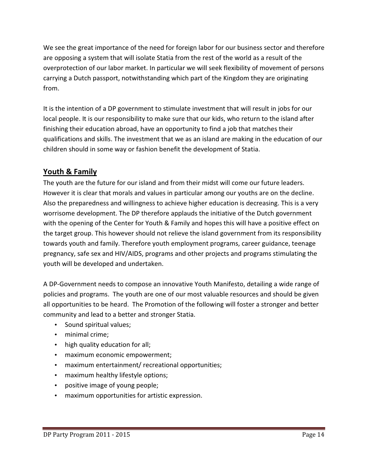We see the great importance of the need for foreign labor for our business sector and therefore are opposing a system that will isolate Statia from the rest of the world as a result of the overprotection of our labor market. In particular we will seek flexibility of movement of persons carrying a Dutch passport, notwithstanding which part of the Kingdom they are originating from.

It is the intention of a DP government to stimulate investment that will result in jobs for our local people. It is our responsibility to make sure that our kids, who return to the island after finishing their education abroad, have an opportunity to find a job that matches their qualifications and skills. The investment that we as an island are making in the education of our children should in some way or fashion benefit the development of Statia.

## Youth & Family

The youth are the future for our island and from their midst will come our future leaders. However it is clear that morals and values in particular among our youths are on the decline. Also the preparedness and willingness to achieve higher education is decreasing. This is a very worrisome development. The DP therefore applauds the initiative of the Dutch government with the opening of the Center for Youth & Family and hopes this will have a positive effect on the target group. This however should not relieve the island government from its responsibility towards youth and family. Therefore youth employment programs, career guidance, teenage pregnancy, safe sex and HIV/AIDS, programs and other projects and programs stimulating the youth will be developed and undertaken.

A DP-Government needs to compose an innovative Youth Manifesto, detailing a wide range of policies and programs. The youth are one of our most valuable resources and should be given all opportunities to be heard. The Promotion of the following will foster a stronger and better community and lead to a better and stronger Statia.

- Sound spiritual values;
- minimal crime;
- high quality education for all;
- maximum economic empowerment;
- maximum entertainment/ recreational opportunities;
- maximum healthy lifestyle options;
- positive image of young people;
- maximum opportunities for artistic expression.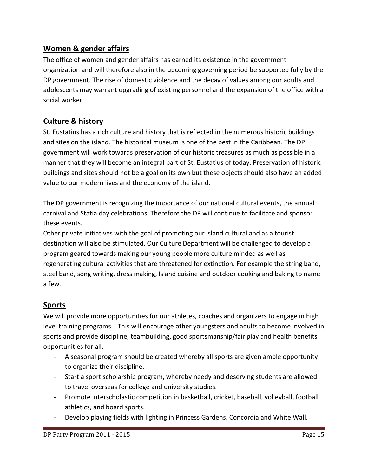## Women & gender affairs

The office of women and gender affairs has earned its existence in the government organization and will therefore also in the upcoming governing period be supported fully by the DP government. The rise of domestic violence and the decay of values among our adults and adolescents may warrant upgrading of existing personnel and the expansion of the office with a social worker.

## Culture & history

St. Eustatius has a rich culture and history that is reflected in the numerous historic buildings and sites on the island. The historical museum is one of the best in the Caribbean. The DP government will work towards preservation of our historic treasures as much as possible in a manner that they will become an integral part of St. Eustatius of today. Preservation of historic buildings and sites should not be a goal on its own but these objects should also have an added value to our modern lives and the economy of the island.

The DP government is recognizing the importance of our national cultural events, the annual carnival and Statia day celebrations. Therefore the DP will continue to facilitate and sponsor these events.

Other private initiatives with the goal of promoting our island cultural and as a tourist destination will also be stimulated. Our Culture Department will be challenged to develop a program geared towards making our young people more culture minded as well as regenerating cultural activities that are threatened for extinction. For example the string band, steel band, song writing, dress making, Island cuisine and outdoor cooking and baking to name a few.

## Sports

We will provide more opportunities for our athletes, coaches and organizers to engage in high level training programs. This will encourage other youngsters and adults to become involved in sports and provide discipline, teambuilding, good sportsmanship/fair play and health benefits opportunities for all.

- A seasonal program should be created whereby all sports are given ample opportunity to organize their discipline.
- Start a sport scholarship program, whereby needy and deserving students are allowed to travel overseas for college and university studies.
- Promote interscholastic competition in basketball, cricket, baseball, volleyball, football athletics, and board sports.
- Develop playing fields with lighting in Princess Gardens, Concordia and White Wall.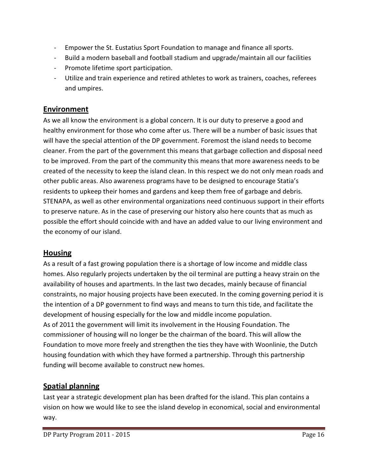- Empower the St. Eustatius Sport Foundation to manage and finance all sports.
- Build a modern baseball and football stadium and upgrade/maintain all our facilities
- Promote lifetime sport participation.
- Utilize and train experience and retired athletes to work as trainers, coaches, referees and umpires.

## Environment

As we all know the environment is a global concern. It is our duty to preserve a good and healthy environment for those who come after us. There will be a number of basic issues that will have the special attention of the DP government. Foremost the island needs to become cleaner. From the part of the government this means that garbage collection and disposal need to be improved. From the part of the community this means that more awareness needs to be created of the necessity to keep the island clean. In this respect we do not only mean roads and other public areas. Also awareness programs have to be designed to encourage Statia's residents to upkeep their homes and gardens and keep them free of garbage and debris. STENAPA, as well as other environmental organizations need continuous support in their efforts to preserve nature. As in the case of preserving our history also here counts that as much as possible the effort should coincide with and have an added value to our living environment and the economy of our island.

## Housing

As a result of a fast growing population there is a shortage of low income and middle class homes. Also regularly projects undertaken by the oil terminal are putting a heavy strain on the availability of houses and apartments. In the last two decades, mainly because of financial constraints, no major housing projects have been executed. In the coming governing period it is the intention of a DP government to find ways and means to turn this tide, and facilitate the development of housing especially for the low and middle income population. As of 2011 the government will limit its involvement in the Housing Foundation. The commissioner of housing will no longer be the chairman of the board. This will allow the Foundation to move more freely and strengthen the ties they have with Woonlinie, the Dutch housing foundation with which they have formed a partnership. Through this partnership funding will become available to construct new homes.

## Spatial planning

Last year a strategic development plan has been drafted for the island. This plan contains a vision on how we would like to see the island develop in economical, social and environmental way.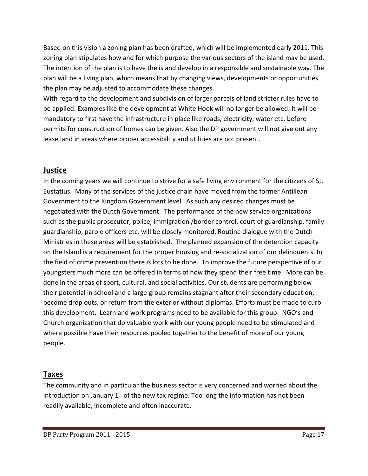Based on this vision a zoning plan has been drafted, which will be implemented early 2011. This zoning plan stipulates how and for which purpose the various sectors of the island may be used. The intention of the plan is to have the island develop in a responsible and sustainable way. The plan will be a living plan, which means that by changing views, developments or opportunities the plan may be adjusted to accommodate these changes.

With regard to the development and subdivision of larger parcels of land stricter rules have to be applied. Examples like the development at White Hook will no longer be allowed. It will be mandatory to first have the infrastructure in place like roads, electricity, water etc. before permits for construction of homes can be given. Also the DP government will not give out any lease land in areas where proper accessibility and utilities are not present.

## Justice

In the coming years we will continue to strive for a safe living environment for the citizens of St. Eustatius. Many of the services of the justice chain have moved from the former Antillean Government to the Kingdom Government level. As such any desired changes must be negotiated with the Dutch Government. The performance of the new service organizations such as the public prosecutor, police, immigration /border control, court of guardianship, family guardianship, parole officers etc. will be closely monitored. Routine dialogue with the Dutch Ministries in these areas will be established. The planned expansion of the detention capacity on the Island is a requirement for the proper housing and re-socialization of our delinquents. In the field of crime prevention there is lots to be done. To improve the future perspective of our youngsters much more can be offered in terms of how they spend their free time. More can be done in the areas of sport, cultural, and social activities. Our students are performing below their potential in school and a large group remains stagnant after their secondary education, become drop outs, or return from the exterior without diplomas. Efforts must be made to curb this development. Learn and work programs need to be available for this group. NGO's and Church organization that do valuable work with our young people need to be stimulated and where possible have their resources pooled together to the benefit of more of our young people.

## Taxes

The community and in particular the business sector is very concerned and worried about the introduction on January  $1<sup>st</sup>$  of the new tax regime. Too long the information has not been readily available, incomplete and often inaccurate.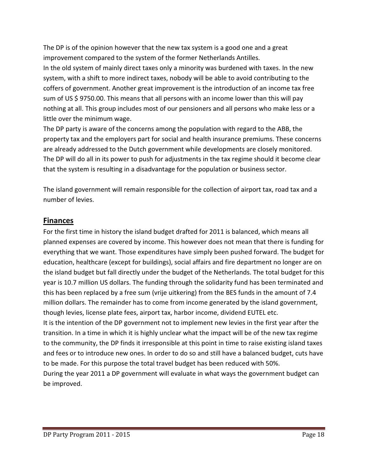The DP is of the opinion however that the new tax system is a good one and a great improvement compared to the system of the former Netherlands Antilles. In the old system of mainly direct taxes only a minority was burdened with taxes. In the new system, with a shift to more indirect taxes, nobody will be able to avoid contributing to the coffers of government. Another great improvement is the introduction of an income tax free sum of US \$ 9750.00. This means that all persons with an income lower than this will pay nothing at all. This group includes most of our pensioners and all persons who make less or a little over the minimum wage.

The DP party is aware of the concerns among the population with regard to the ABB, the property tax and the employers part for social and health insurance premiums. These concerns are already addressed to the Dutch government while developments are closely monitored. The DP will do all in its power to push for adjustments in the tax regime should it become clear that the system is resulting in a disadvantage for the population or business sector.

The island government will remain responsible for the collection of airport tax, road tax and a number of levies.

#### Finances

For the first time in history the island budget drafted for 2011 is balanced, which means all planned expenses are covered by income. This however does not mean that there is funding for everything that we want. Those expenditures have simply been pushed forward. The budget for education, healthcare (except for buildings), social affairs and fire department no longer are on the island budget but fall directly under the budget of the Netherlands. The total budget for this year is 10.7 million US dollars. The funding through the solidarity fund has been terminated and this has been replaced by a free sum (vrije uitkering) from the BES funds in the amount of 7.4 million dollars. The remainder has to come from income generated by the island government, though levies, license plate fees, airport tax, harbor income, dividend EUTEL etc. It is the intention of the DP government not to implement new levies in the first year after the transition. In a time in which it is highly unclear what the impact will be of the new tax regime to the community, the DP finds it irresponsible at this point in time to raise existing island taxes and fees or to introduce new ones. In order to do so and still have a balanced budget, cuts have to be made. For this purpose the total travel budget has been reduced with 50%. During the year 2011 a DP government will evaluate in what ways the government budget can

be improved.